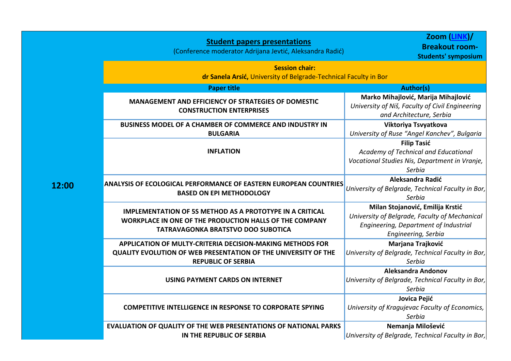|       | <b>Student papers presentations</b><br>(Conference moderator Adrijana Jevtić, Aleksandra Radić)                                                                         | Zoom (LINK)/<br><b>Breakout room-</b><br><b>Students' symposium</b>                                                                               |  |
|-------|-------------------------------------------------------------------------------------------------------------------------------------------------------------------------|---------------------------------------------------------------------------------------------------------------------------------------------------|--|
|       | <b>Session chair:</b><br>dr Sanela Arsić, University of Belgrade-Technical Faculty in Bor                                                                               |                                                                                                                                                   |  |
|       | <b>Paper title</b>                                                                                                                                                      | <b>Author(s)</b>                                                                                                                                  |  |
|       | <b>MANAGEMENT AND EFFICIENCY OF STRATEGIES OF DOMESTIC</b><br><b>CONSTRUCTION ENTERPRISES</b>                                                                           | Marko Mihajlović, Marija Mihajlović<br>University of Niš, Faculty of Civil Engineering<br>and Architecture, Serbia                                |  |
|       | BUSINESS MODEL OF A CHAMBER OF COMMERCE AND INDUSTRY IN<br><b>BULGARIA</b>                                                                                              | Viktoriya Tsvyatkova<br>University of Ruse "Angel Kanchev", Bulgaria                                                                              |  |
|       | <b>INFLATION</b>                                                                                                                                                        | <b>Filip Tasić</b><br>Academy of Technical and Educational<br>Vocational Studies Nis, Department in Vranje,<br>Serbia                             |  |
| 12:00 | <b>ANALYSIS OF ECOLOGICAL PERFORMANCE OF EASTERN EUROPEAN COUNTRIES</b><br><b>BASED ON EPI METHODOLOGY</b>                                                              | Aleksandra Radić<br>University of Belgrade, Technical Faculty in Bor,<br>Serbia                                                                   |  |
|       | <b>IMPLEMENTATION OF 5S METHOD AS A PROTOTYPE IN A CRITICAL</b><br>WORKPLACE IN ONE OF THE PRODUCTION HALLS OF THE COMPANY<br><b>TATRAVAGONKA BRATSTVO DOO SUBOTICA</b> | Milan Stojanović, Emilija Krstić<br>University of Belgrade, Faculty of Mechanical<br>Engineering, Department of Industrial<br>Engineering, Serbia |  |
|       | <b>APPLICATION OF MULTY-CRITERIA DECISION-MAKING METHODS FOR</b><br>QUALITY EVOLUTION OF WEB PRESENTATION OF THE UNIVERSITY OF THE<br><b>REPUBLIC OF SERBIA</b>         | Marjana Trajković<br>University of Belgrade, Technical Faculty in Bor,<br>Serbia                                                                  |  |
|       | <b>USING PAYMENT CARDS ON INTERNET</b>                                                                                                                                  | <b>Aleksandra Andonov</b><br>University of Belgrade, Technical Faculty in Bor,<br>Serbia                                                          |  |
|       | <b>COMPETITIVE INTELLIGENCE IN RESPONSE TO CORPORATE SPYING</b>                                                                                                         | Jovica Pejić<br>University of Kragujevac Faculty of Economics,<br>Serbia                                                                          |  |
|       | EVALUATION OF QUALITY OF THE WEB PRESENTATIONS OF NATIONAL PARKS<br>IN THE REPUBLIC OF SERBIA                                                                           | Nemanja Milošević<br>University of Belgrade, Technical Faculty in Bor,                                                                            |  |